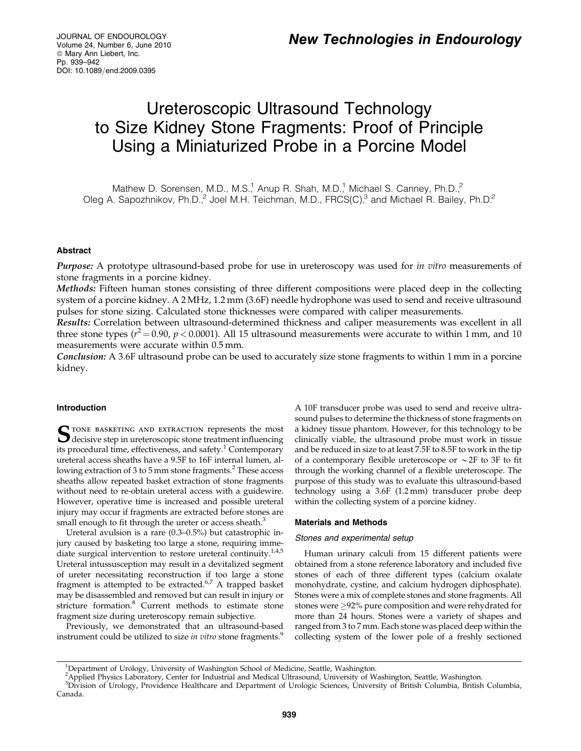JOURNAL OF ENDOUROLOGY Volume 24, Number 6, June 2010  $@$  Mary Ann Liebert, Inc. Pp. 939–942 DOI: 10.1089/end.2009.0395

# Ureteroscopic Ultrasound Technology to Size Kidney Stone Fragments: Proof of Principle Using a Miniaturized Probe in a Porcine Model

Mathew D. Sorensen, M.D., M.S.<sup>1</sup>, Anup R. Shah, M.D.<sup>1</sup>, Michael S. Canney, Ph.D.<sup>2</sup> Oleg A. Sapozhnikov, Ph.D.<sup>2</sup> Joel M.H. Teichman, M.D., FRCS(C),<sup>3</sup> and Michael R. Bailey, Ph.D.<sup>2</sup>

# Abstract

Purpose: A prototype ultrasound-based probe for use in ureteroscopy was used for in vitro measurements of stone fragments in a porcine kidney.

Methods: Fifteen human stones consisting of three different compositions were placed deep in the collecting system of a porcine kidney. A 2 MHz, 1.2 mm (3.6F) needle hydrophone was used to send and receive ultrasound pulses for stone sizing. Calculated stone thicknesses were compared with caliper measurements.

Results: Correlation between ultrasound-determined thickness and caliper measurements was excellent in all three stone types ( $r^2$  = 0.90,  $p$  < 0.0001). All 15 ultrasound measurements were accurate to within 1 mm, and 10 measurements were accurate within 0.5 mm.

Conclusion: A 3.6F ultrasound probe can be used to accurately size stone fragments to within 1 mm in a porcine kidney.

# Introduction

 $S$ TONE BASKETING AND EXTRACTION represents the most<br>decisive step in ureteroscopic stone treatment influencing its procedural time, effectiveness, and safety.<sup>1</sup> Contemporary ureteral access sheaths have a 9.5F to 16F internal lumen, allowing extraction of 3 to 5 mm stone fragments.<sup>2</sup> These access sheaths allow repeated basket extraction of stone fragments without need to re-obtain ureteral access with a guidewire. However, operative time is increased and possible ureteral injury may occur if fragments are extracted before stones are small enough to fit through the ureter or access sheath.<sup>3</sup>

Ureteral avulsion is a rare (0.3–0.5%) but catastrophic injury caused by basketing too large a stone, requiring immediate surgical intervention to restore ureteral continuity.<sup>1,4,5</sup> Ureteral intussusception may result in a devitalized segment of ureter necessitating reconstruction if too large a stone fragment is attempted to be extracted.<sup>6,7</sup> A trapped basket may be disassembled and removed but can result in injury or stricture formation.<sup>8</sup> Current methods to estimate stone fragment size during ureteroscopy remain subjective.

Previously, we demonstrated that an ultrasound-based instrument could be utilized to size in vitro stone fragments.<sup>9</sup>

A 10F transducer probe was used to send and receive ultrasound pulses to determine the thickness of stone fragments on a kidney tissue phantom. However, for this technology to be clinically viable, the ultrasound probe must work in tissue and be reduced in size to at least 7.5F to 8.5F to work in the tip of a contemporary flexible ureteroscope or  $\sim$  2F to 3F to fit through the working channel of a flexible ureteroscope. The purpose of this study was to evaluate this ultrasound-based technology using a 3.6F (1.2 mm) transducer probe deep within the collecting system of a porcine kidney.

## Materials and Methods

## Stones and experimental setup

Human urinary calculi from 15 different patients were obtained from a stone reference laboratory and included five stones of each of three different types (calcium oxalate monohydrate, cystine, and calcium hydrogen diphosphate). Stones were a mix of complete stones and stone fragments. All stones were  $\geq$ 92% pure composition and were rehydrated for more than 24 hours. Stones were a variety of shapes and ranged from 3 to 7 mm. Each stone was placed deep within the collecting system of the lower pole of a freshly sectioned

<sup>&</sup>lt;sup>1</sup>Department of Urology, University of Washington School of Medicine, Seattle, Washington.

applied Physics Laboratory, Center for Industrial and Medical Ultrasound, University of Washington, Seattle, Washington.<br><sup>3</sup>Division of Urology, Providence Healthcare and Department of Urologic Sciences, University of Brit Canada.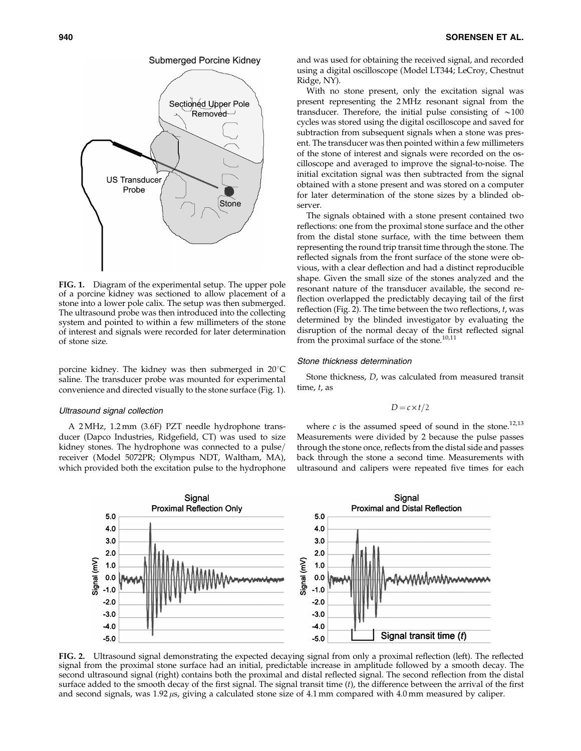



FIG. 1. Diagram of the experimental setup. The upper pole of a porcine kidney was sectioned to allow placement of a stone into a lower pole calix. The setup was then submerged. The ultrasound probe was then introduced into the collecting system and pointed to within a few millimeters of the stone of interest and signals were recorded for later determination of stone size.

porcine kidney. The kidney was then submerged in  $20^{\circ}$ C saline. The transducer probe was mounted for experimental convenience and directed visually to the stone surface (Fig. 1).

## Ultrasound signal collection

A 2 MHz, 1.2 mm (3.6F) PZT needle hydrophone transducer (Dapco Industries, Ridgefield, CT) was used to size kidney stones. The hydrophone was connected to a pulse/ receiver (Model 5072PR; Olympus NDT, Waltham, MA), which provided both the excitation pulse to the hydrophone and was used for obtaining the received signal, and recorded using a digital oscilloscope (Model LT344; LeCroy, Chestnut Ridge, NY).

With no stone present, only the excitation signal was present representing the 2 MHz resonant signal from the transducer. Therefore, the initial pulse consisting of  $\sim$ 100 cycles was stored using the digital oscilloscope and saved for subtraction from subsequent signals when a stone was present. The transducer was then pointed within a few millimeters of the stone of interest and signals were recorded on the oscilloscope and averaged to improve the signal-to-noise. The initial excitation signal was then subtracted from the signal obtained with a stone present and was stored on a computer for later determination of the stone sizes by a blinded observer.

The signals obtained with a stone present contained two reflections: one from the proximal stone surface and the other from the distal stone surface, with the time between them representing the round trip transit time through the stone. The reflected signals from the front surface of the stone were obvious, with a clear deflection and had a distinct reproducible shape. Given the small size of the stones analyzed and the resonant nature of the transducer available, the second reflection overlapped the predictably decaying tail of the first reflection (Fig. 2). The time between the two reflections,  $t$ , was determined by the blinded investigator by evaluating the disruption of the normal decay of the first reflected signal from the proximal surface of the stone. $10,11$ 

## Stone thickness determination

Stone thickness, D, was calculated from measured transit time, t, as

$$
D = c \times t/2
$$

where  $c$  is the assumed speed of sound in the stone.<sup>12,13</sup> Measurements were divided by 2 because the pulse passes through the stone once, reflects from the distal side and passes back through the stone a second time. Measurements with ultrasound and calipers were repeated five times for each



FIG. 2. Ultrasound signal demonstrating the expected decaying signal from only a proximal reflection (left). The reflected signal from the proximal stone surface had an initial, predictable increase in amplitude followed by a smooth decay. The second ultrasound signal (right) contains both the proximal and distal reflected signal. The second reflection from the distal surface added to the smooth decay of the first signal. The signal transit time  $(t)$ , the difference between the arrival of the first and second signals, was 1.92  $\mu$ s, giving a calculated stone size of 4.1 mm compared with 4.0 mm measured by caliper.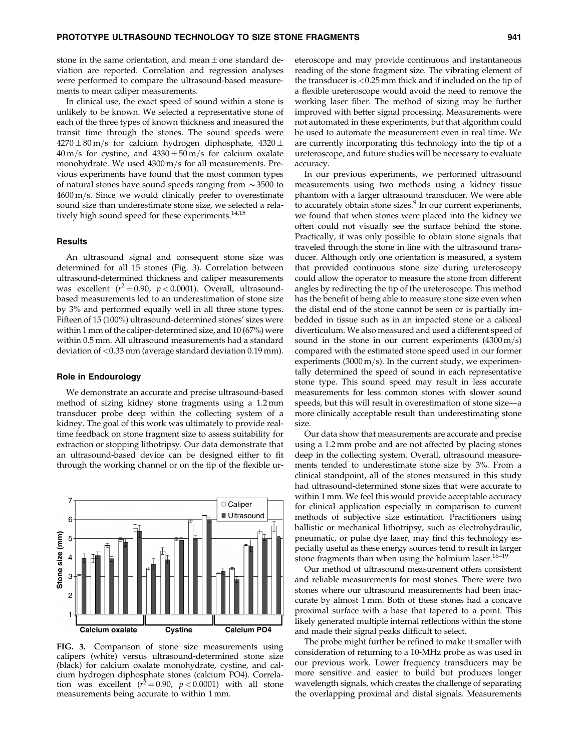stone in the same orientation, and mean  $\pm$  one standard deviation are reported. Correlation and regression analyses were performed to compare the ultrasound-based measurements to mean caliper measurements.

In clinical use, the exact speed of sound within a stone is unlikely to be known. We selected a representative stone of each of the three types of known thickness and measured the transit time through the stones. The sound speeds were 4270 $\pm$ 80 m/s for calcium hydrogen diphosphate, 4320 $\pm$  $40\,\rm m/s$  for cystine, and  $4330\pm50\,\rm m/s$  for calcium oxalate monohydrate. We used  $4300 \,\mathrm{m/s}$  for all measurements. Previous experiments have found that the most common types of natural stones have sound speeds ranging from  $\sim$ 3500 to  $4600 \text{ m/s}$ . Since we would clinically prefer to overestimate sound size than underestimate stone size, we selected a relatively high sound speed for these experiments.<sup>14,15</sup>

## **Results**

An ultrasound signal and consequent stone size was determined for all 15 stones (Fig. 3). Correlation between ultrasound-determined thickness and caliper measurements was excellent ( $r^2 = 0.90$ ,  $p < 0.0001$ ). Overall, ultrasoundbased measurements led to an underestimation of stone size by 3% and performed equally well in all three stone types. Fifteen of 15 (100%) ultrasound-determined stones' sizes were within 1 mm of the caliper-determined size, and 10 (67%) were within 0.5 mm. All ultrasound measurements had a standard deviation of <0.33 mm (average standard deviation 0.19 mm).

#### Role in Endourology

We demonstrate an accurate and precise ultrasound-based method of sizing kidney stone fragments using a 1.2 mm transducer probe deep within the collecting system of a kidney. The goal of this work was ultimately to provide realtime feedback on stone fragment size to assess suitability for extraction or stopping lithotripsy. Our data demonstrate that an ultrasound-based device can be designed either to fit through the working channel or on the tip of the flexible ur-



FIG. 3. Comparison of stone size measurements using calipers (white) versus ultrasound-determined stone size (black) for calcium oxalate monohydrate, cystine, and calcium hydrogen diphosphate stones (calcium PO4). Correlation was excellent  $(r^2 = 0.90, p < 0.0001)$  with all stone measurements being accurate to within 1 mm.

eteroscope and may provide continuous and instantaneous reading of the stone fragment size. The vibrating element of the transducer is <0.25 mm thick and if included on the tip of a flexible ureteroscope would avoid the need to remove the working laser fiber. The method of sizing may be further improved with better signal processing. Measurements were not automated in these experiments, but that algorithm could be used to automate the measurement even in real time. We are currently incorporating this technology into the tip of a ureteroscope, and future studies will be necessary to evaluate accuracy.

In our previous experiments, we performed ultrasound measurements using two methods using a kidney tissue phantom with a larger ultrasound transducer. We were able to accurately obtain stone sizes.<sup>9</sup> In our current experiments, we found that when stones were placed into the kidney we often could not visually see the surface behind the stone. Practically, it was only possible to obtain stone signals that traveled through the stone in line with the ultrasound transducer. Although only one orientation is measured, a system that provided continuous stone size during ureteroscopy could allow the operator to measure the stone from different angles by redirecting the tip of the ureteroscope. This method has the benefit of being able to measure stone size even when the distal end of the stone cannot be seen or is partially imbedded in tissue such as in an impacted stone or a caliceal diverticulum. We also measured and used a different speed of sound in the stone in our current experiments  $(4300 \text{ m/s})$ compared with the estimated stone speed used in our former experiments (3000 m/s). In the current study, we experimentally determined the speed of sound in each representative stone type. This sound speed may result in less accurate measurements for less common stones with slower sound speeds, but this will result in overestimation of stone size—a more clinically acceptable result than underestimating stone size.

Our data show that measurements are accurate and precise using a 1.2 mm probe and are not affected by placing stones deep in the collecting system. Overall, ultrasound measurements tended to underestimate stone size by 3%. From a clinical standpoint, all of the stones measured in this study had ultrasound-determined stone sizes that were accurate to within 1 mm. We feel this would provide acceptable accuracy for clinical application especially in comparison to current methods of subjective size estimation. Practitioners using ballistic or mechanical lithotripsy, such as electrohydraulic, pneumatic, or pulse dye laser, may find this technology especially useful as these energy sources tend to result in larger stone fragments than when using the holmium laser.<sup>16–19</sup>

Our method of ultrasound measurement offers consistent and reliable measurements for most stones. There were two stones where our ultrasound measurements had been inaccurate by almost 1 mm. Both of these stones had a concave proximal surface with a base that tapered to a point. This likely generated multiple internal reflections within the stone and made their signal peaks difficult to select.

The probe might further be refined to make it smaller with consideration of returning to a 10-MHz probe as was used in our previous work. Lower frequency transducers may be more sensitive and easier to build but produces longer wavelength signals, which creates the challenge of separating the overlapping proximal and distal signals. Measurements